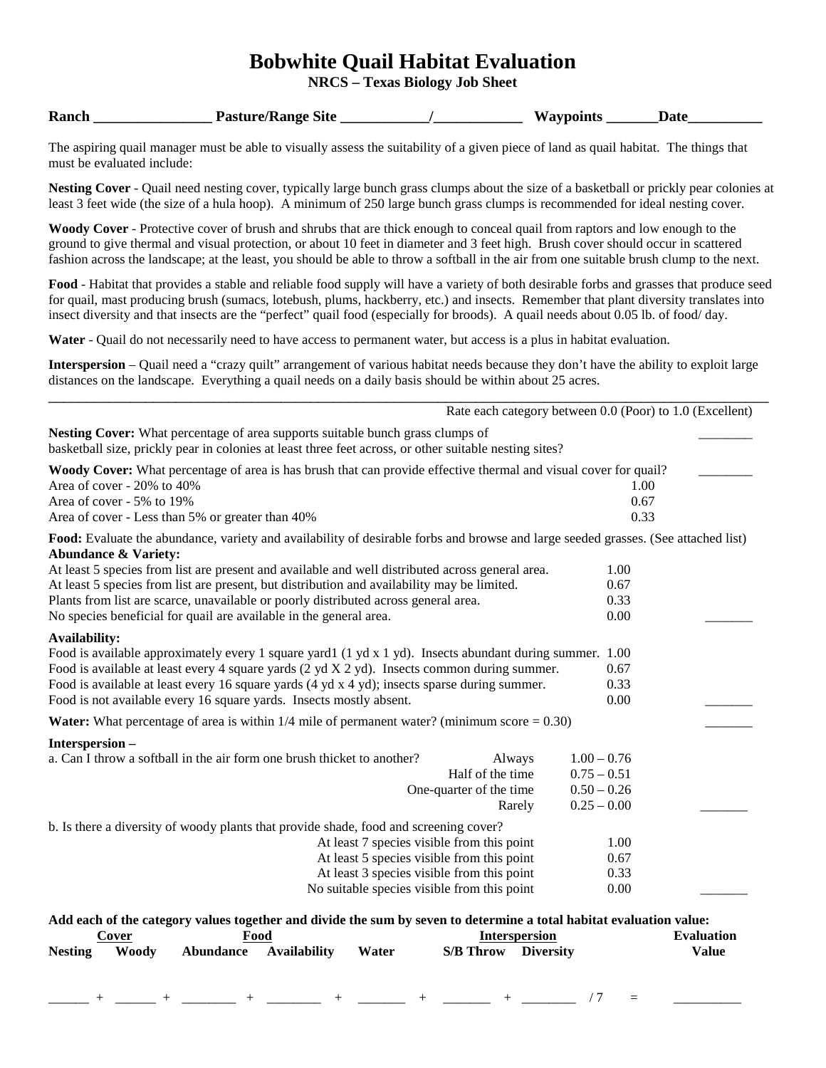# **Bobwhite Quail Habitat Evaluation**

**NRCS – Texas Biology Job Sheet**

| Ranch | <b>Pasture/Range Site</b> | <b>Waypoints</b> | Dato |  |
|-------|---------------------------|------------------|------|--|
|       |                           |                  |      |  |

The aspiring quail manager must be able to visually assess the suitability of a given piece of land as quail habitat. The things that must be evaluated include:

**Nesting Cover** - Quail need nesting cover, typically large bunch grass clumps about the size of a basketball or prickly pear colonies at least 3 feet wide (the size of a hula hoop). A minimum of 250 large bunch grass clumps is recommended for ideal nesting cover.

**Woody Cover** - Protective cover of brush and shrubs that are thick enough to conceal quail from raptors and low enough to the ground to give thermal and visual protection, or about 10 feet in diameter and 3 feet high. Brush cover should occur in scattered fashion across the landscape; at the least, you should be able to throw a softball in the air from one suitable brush clump to the next.

**Food** - Habitat that provides a stable and reliable food supply will have a variety of both desirable forbs and grasses that produce seed for quail, mast producing brush (sumacs, lotebush, plums, hackberry, etc.) and insects. Remember that plant diversity translates into insect diversity and that insects are the "perfect" quail food (especially for broods). A quail needs about 0.05 lb. of food/ day.

**Water** - Quail do not necessarily need to have access to permanent water, but access is a plus in habitat evaluation.

**Interspersion** – Quail need a "crazy quilt" arrangement of various habitat needs because they don't have the ability to exploit large distances on the landscape. Everything a quail needs on a daily basis should be within about 25 acres.

|                                                                                                                                                                                                                                                                                                                                                                                                          | Rate each category between 0.0 (Poor) to 1.0 (Excellent) |
|----------------------------------------------------------------------------------------------------------------------------------------------------------------------------------------------------------------------------------------------------------------------------------------------------------------------------------------------------------------------------------------------------------|----------------------------------------------------------|
| Nesting Cover: What percentage of area supports suitable bunch grass clumps of<br>basketball size, prickly pear in colonies at least three feet across, or other suitable nesting sites?                                                                                                                                                                                                                 |                                                          |
| Woody Cover: What percentage of area is has brush that can provide effective thermal and visual cover for quail?<br>Area of cover - 20% to 40%                                                                                                                                                                                                                                                           | 1.00                                                     |
| Area of cover - 5% to 19%<br>Area of cover - Less than 5% or greater than 40%                                                                                                                                                                                                                                                                                                                            | 0.67<br>0.33                                             |
| Food: Evaluate the abundance, variety and availability of desirable forbs and browse and large seeded grasses. (See attached list)<br><b>Abundance &amp; Variety:</b>                                                                                                                                                                                                                                    |                                                          |
| At least 5 species from list are present and available and well distributed across general area.                                                                                                                                                                                                                                                                                                         | 1.00                                                     |
| At least 5 species from list are present, but distribution and availability may be limited.                                                                                                                                                                                                                                                                                                              | 0.67                                                     |
| Plants from list are scarce, unavailable or poorly distributed across general area.                                                                                                                                                                                                                                                                                                                      | 0.33                                                     |
| No species beneficial for quail are available in the general area.                                                                                                                                                                                                                                                                                                                                       | 0.00                                                     |
| <b>Availability:</b><br>Food is available approximately every 1 square yard1 (1 yd x 1 yd). Insects abundant during summer. 1.00<br>Food is available at least every 4 square yards (2 yd X 2 yd). Insects common during summer.<br>Food is available at least every 16 square yards (4 yd x 4 yd); insects sparse during summer.<br>Food is not available every 16 square yards. Insects mostly absent. | 0.67<br>0.33<br>0.00                                     |
| <b>Water:</b> What percentage of area is within $1/4$ mile of permanent water? (minimum score $= 0.30$ )                                                                                                                                                                                                                                                                                                 |                                                          |
| Interspersion-                                                                                                                                                                                                                                                                                                                                                                                           |                                                          |
| a. Can I throw a softball in the air form one brush thicket to another?<br>Always                                                                                                                                                                                                                                                                                                                        | $1.00 - 0.76$                                            |
| Half of the time                                                                                                                                                                                                                                                                                                                                                                                         | $0.75 - 0.51$                                            |
| One-quarter of the time                                                                                                                                                                                                                                                                                                                                                                                  | $0.50 - 0.26$                                            |
| Rarely                                                                                                                                                                                                                                                                                                                                                                                                   | $0.25 - 0.00$                                            |
| b. Is there a diversity of woody plants that provide shade, food and screening cover?                                                                                                                                                                                                                                                                                                                    |                                                          |
| At least 7 species visible from this point                                                                                                                                                                                                                                                                                                                                                               | 1.00                                                     |
| At least 5 species visible from this point                                                                                                                                                                                                                                                                                                                                                               | 0.67                                                     |
| At least 3 species visible from this point                                                                                                                                                                                                                                                                                                                                                               | 0.33                                                     |
| No suitable species visible from this point                                                                                                                                                                                                                                                                                                                                                              | 0.00                                                     |
|                                                                                                                                                                                                                                                                                                                                                                                                          |                                                          |
| Add each of the category values together and divide the sum by seven to determine a total habitat evaluation value:                                                                                                                                                                                                                                                                                      |                                                          |
| <b>Interspersion</b><br>Food<br>Cover                                                                                                                                                                                                                                                                                                                                                                    | <b>Evaluation</b>                                        |
| <b>Woody</b><br><b>Abundance</b><br><b>Availability</b><br><b>S/B Throw</b><br><b>Nesting</b><br>Water                                                                                                                                                                                                                                                                                                   | <b>Diversity</b><br><b>Value</b>                         |

\_\_\_\_\_\_ + \_\_\_\_\_\_ + \_\_\_\_\_\_\_\_ + \_\_\_\_\_\_\_\_ + \_\_\_\_\_\_\_ + \_\_\_\_\_\_\_ + \_\_\_\_\_\_\_\_ / 7 = \_\_\_\_\_\_\_\_\_\_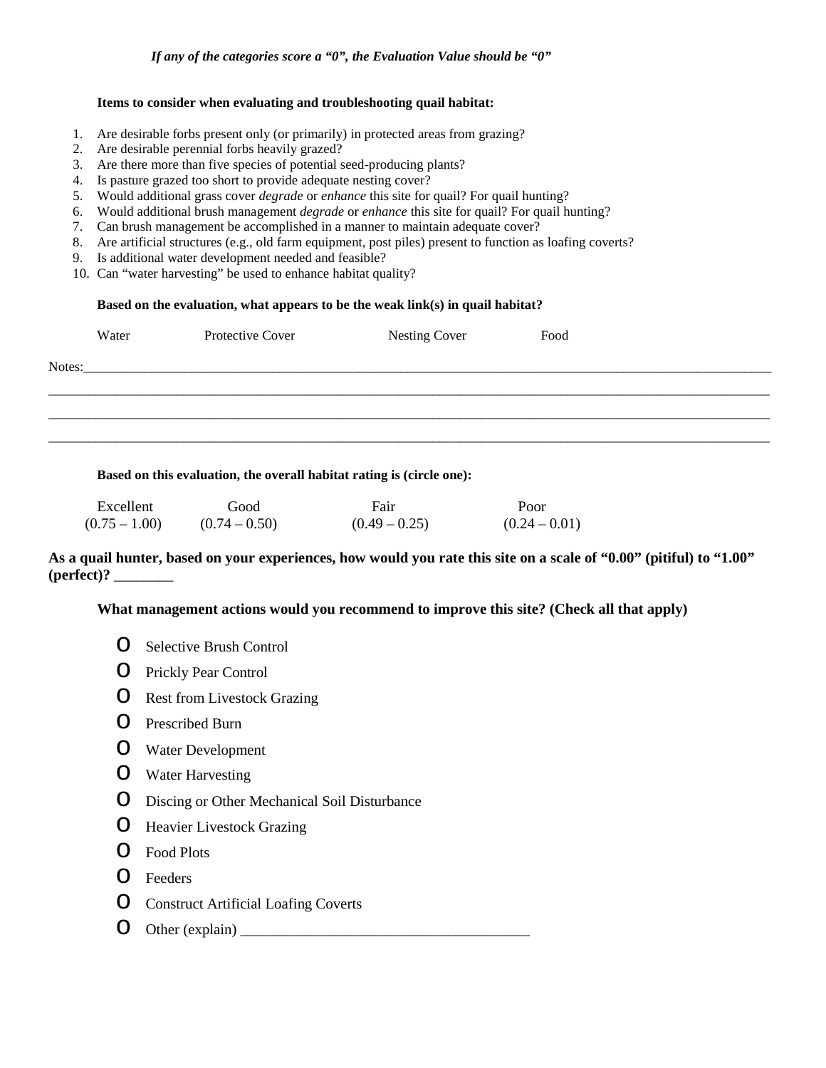### **Items to consider when evaluating and troubleshooting quail habitat:**

- 1. Are desirable forbs present only (or primarily) in protected areas from grazing?
- 2. Are desirable perennial forbs heavily grazed?
- 3. Are there more than five species of potential seed-producing plants?
- 4. Is pasture grazed too short to provide adequate nesting cover?
- 5. Would additional grass cover *degrade* or *enhance* this site for quail? For quail hunting?
- 6. Would additional brush management *degrade* or *enhance* this site for quail? For quail hunting?
- 7. Can brush management be accomplished in a manner to maintain adequate cover?
- 8. Are artificial structures (e.g., old farm equipment, post piles) present to function as loafing coverts?
- 9. Is additional water development needed and feasible?
- 10. Can "water harvesting" be used to enhance habitat quality?

### **Based on the evaluation, what appears to be the weak link(s) in quail habitat?**

|        | Water | Protective Cover                                                                                                | <b>Nesting Cover</b> | Food |
|--------|-------|-----------------------------------------------------------------------------------------------------------------|----------------------|------|
| Notes: |       | the contract of the contract of the contract of the contract of the contract of the contract of the contract of |                      |      |
|        |       |                                                                                                                 |                      |      |
|        |       |                                                                                                                 |                      |      |
|        |       |                                                                                                                 |                      |      |
|        |       |                                                                                                                 |                      |      |

**Based on this evaluation, the overall habitat rating is (circle one):**

| Excellent       | Good            | Fair            | Poor            |
|-----------------|-----------------|-----------------|-----------------|
| $(0.75 - 1.00)$ | $(0.74 - 0.50)$ | $(0.49 - 0.25)$ | $(0.24 - 0.01)$ |

## **As a quail hunter, based on your experiences, how would you rate this site on a scale of "0.00" (pitiful) to "1.00" (perfect)?** \_\_\_\_\_\_\_\_

**What management actions would you recommend to improve this site? (Check all that apply)**

- o Selective Brush Control
- o Prickly Pear Control
- o Rest from Livestock Grazing
- o Prescribed Burn
- o Water Development
- o Water Harvesting
- o Discing or Other Mechanical Soil Disturbance
- **O** Heavier Livestock Grazing
- o Food Plots
- o Feeders
- o Construct Artificial Loafing Coverts
- $\bigcirc$  Other (explain)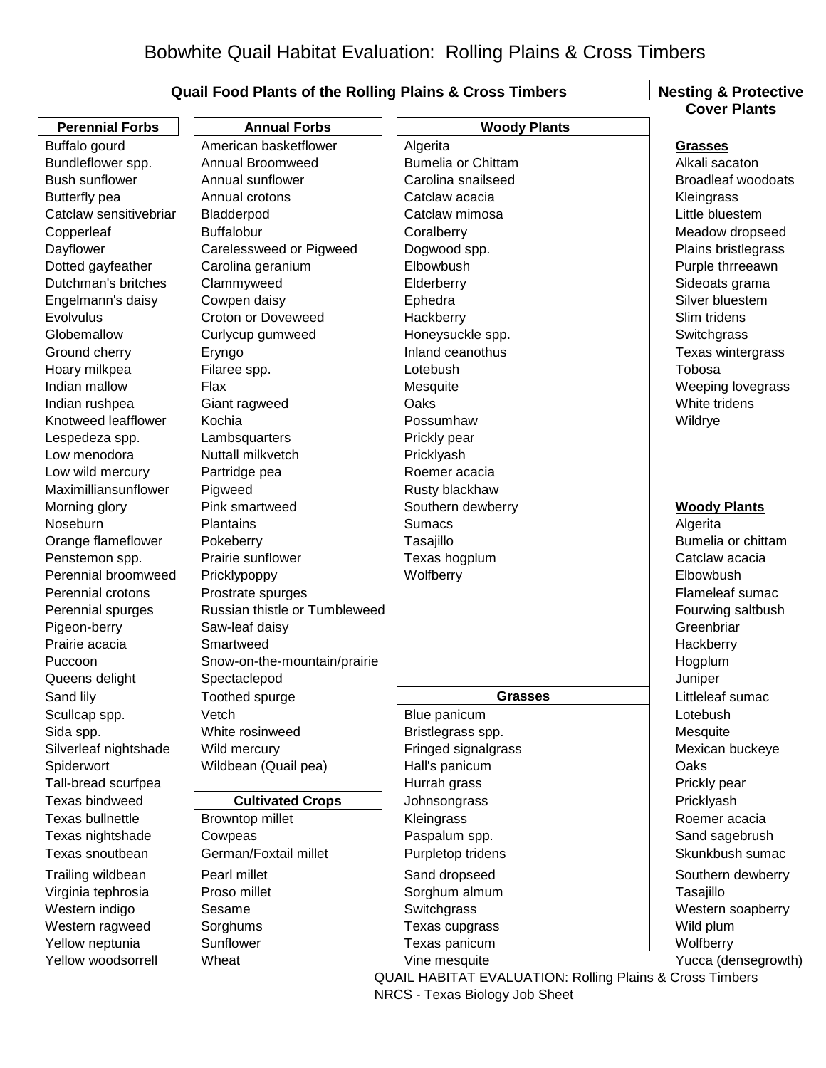# **Quail Food Plants of the Rolling Plains & Cross Timbers | Nesting & Protective**

| <b>Perennial Forbs</b><br><b>Annual Forbs</b><br><b>Woody Plants</b><br>American basketflower<br>Buffalo gourd<br>Algerita<br><b>Grasses</b><br>Alkali sacaton<br>Bundleflower spp.<br>Annual Broomweed<br><b>Bumelia or Chittam</b><br><b>Bush sunflower</b><br>Annual sunflower<br>Carolina snailseed<br><b>Broadleaf woodoats</b><br><b>Butterfly pea</b><br>Annual crotons<br>Catclaw acacia<br>Kleingrass<br>Little bluestem<br>Catclaw sensitivebriar<br>Bladderpod<br>Catclaw mimosa<br><b>Buffalobur</b><br>Copperleaf<br>Coralberry<br>Meadow dropseed<br>Dayflower<br>Carelessweed or Pigweed<br>Dogwood spp.<br>Plains bristlegrass<br>Elbowbush<br>Dotted gayfeather<br>Carolina geranium<br>Purple thrreeawn<br>Dutchman's britches<br>Clammyweed<br>Elderberry<br>Sideoats grama<br>Silver bluestem<br>Cowpen daisy<br>Ephedra<br>Engelmann's daisy<br>Evolvulus<br><b>Croton or Doveweed</b><br>Hackberry<br>Slim tridens<br>Globemallow<br>Honeysuckle spp.<br>Switchgrass<br>Curlycup gumweed<br>Inland ceanothus<br>Texas wintergrass<br>Ground cherry<br>Eryngo<br>Lotebush<br>Tobosa<br>Hoary milkpea<br>Filaree spp.<br>Indian mallow<br>Flax<br>Mesquite<br>Weeping lovegrass<br>Indian rushpea<br>Giant ragweed<br>Oaks<br>White tridens<br>Knotweed leafflower<br>Kochia<br>Possumhaw<br>Wildrye<br>Lespedeza spp.<br>Prickly pear<br>Lambsquarters<br>Nuttall milkvetch<br>Low menodora<br>Pricklyash<br>Low wild mercury<br>Partridge pea<br>Roemer acacia<br>Maximilliansunflower<br>Pigweed<br>Rusty blackhaw<br>Pink smartweed<br>Southern dewberry<br><b>Woody Plants</b><br>Morning glory<br>Noseburn<br>Plantains<br><b>Sumacs</b><br>Algerita<br>Bumelia or chittam<br>Orange flameflower<br>Pokeberry<br>Tasajillo<br>Prairie sunflower<br>Texas hogplum<br>Penstemon spp.<br>Catclaw acacia<br>Perennial broomweed<br>Wolfberry<br>Elbowbush<br>Pricklypoppy<br>Flameleaf sumac<br>Perennial crotons<br>Prostrate spurges<br>Russian thistle or Tumbleweed<br>Perennial spurges<br>Fourwing saltbush<br>Pigeon-berry<br>Greenbriar<br>Saw-leaf daisy<br>Prairie acacia<br>Smartweed<br>Hackberry<br>Snow-on-the-mountain/prairie<br>Hogplum<br>Puccoon<br>Juniper<br>Queens delight<br>Spectaclepod<br>Sand lily<br>Toothed spurge<br>Littleleaf sumac<br><b>Grasses</b><br>Vetch<br>Lotebush<br>Scullcap spp.<br>Blue panicum<br>Sida spp.<br>White rosinweed<br>Bristlegrass spp.<br>Mesquite<br>Silverleaf nightshade<br>Fringed signalgrass<br>Mexican buckeye<br>Wild mercury<br>Spiderwort<br>Wildbean (Quail pea)<br>Oaks<br>Hall's panicum<br>Tall-bread scurfpea<br>Hurrah grass<br>Prickly pear<br>Texas bindweed<br><b>Cultivated Crops</b><br>Johnsongrass<br>Pricklyash<br>Texas bullnettle<br>Roemer acacia<br>Browntop millet<br>Kleingrass<br>Texas nightshade<br>Paspalum spp.<br>Sand sagebrush<br>Cowpeas<br>German/Foxtail millet<br>Texas snoutbean<br>Purpletop tridens<br>Skunkbush sumac<br>Trailing wildbean<br>Pearl millet<br>Sand dropseed<br>Southern dewberry<br>Virginia tephrosia<br>Proso millet<br>Sorghum almum<br>Tasajillo<br>Western indigo<br>Sesame<br>Switchgrass<br>Western soapberry<br>Western ragweed<br>Sorghums<br>Texas cupgrass<br>Wild plum<br>Sunflower<br>Texas panicum<br>Yellow neptunia<br>Wolfberry<br>Yellow woodsorrell<br>Wheat<br>Vine mesquite |  | <b>Cover Plants</b> |
|------------------------------------------------------------------------------------------------------------------------------------------------------------------------------------------------------------------------------------------------------------------------------------------------------------------------------------------------------------------------------------------------------------------------------------------------------------------------------------------------------------------------------------------------------------------------------------------------------------------------------------------------------------------------------------------------------------------------------------------------------------------------------------------------------------------------------------------------------------------------------------------------------------------------------------------------------------------------------------------------------------------------------------------------------------------------------------------------------------------------------------------------------------------------------------------------------------------------------------------------------------------------------------------------------------------------------------------------------------------------------------------------------------------------------------------------------------------------------------------------------------------------------------------------------------------------------------------------------------------------------------------------------------------------------------------------------------------------------------------------------------------------------------------------------------------------------------------------------------------------------------------------------------------------------------------------------------------------------------------------------------------------------------------------------------------------------------------------------------------------------------------------------------------------------------------------------------------------------------------------------------------------------------------------------------------------------------------------------------------------------------------------------------------------------------------------------------------------------------------------------------------------------------------------------------------------------------------------------------------------------------------------------------------------------------------------------------------------------------------------------------------------------------------------------------------------------------------------------------------------------------------------------------------------------------------------------------------------------------------------------------------------------------------------------------------------------------------------------------------------------------------------------------------------------------------------------------------------------------------------------------------------------------------------------------------------------------------------|--|---------------------|
| Yucca (densegrowth)                                                                                                                                                                                                                                                                                                                                                                                                                                                                                                                                                                                                                                                                                                                                                                                                                                                                                                                                                                                                                                                                                                                                                                                                                                                                                                                                                                                                                                                                                                                                                                                                                                                                                                                                                                                                                                                                                                                                                                                                                                                                                                                                                                                                                                                                                                                                                                                                                                                                                                                                                                                                                                                                                                                                                                                                                                                                                                                                                                                                                                                                                                                                                                                                                                                                                                                            |  |                     |
|                                                                                                                                                                                                                                                                                                                                                                                                                                                                                                                                                                                                                                                                                                                                                                                                                                                                                                                                                                                                                                                                                                                                                                                                                                                                                                                                                                                                                                                                                                                                                                                                                                                                                                                                                                                                                                                                                                                                                                                                                                                                                                                                                                                                                                                                                                                                                                                                                                                                                                                                                                                                                                                                                                                                                                                                                                                                                                                                                                                                                                                                                                                                                                                                                                                                                                                                                |  |                     |
|                                                                                                                                                                                                                                                                                                                                                                                                                                                                                                                                                                                                                                                                                                                                                                                                                                                                                                                                                                                                                                                                                                                                                                                                                                                                                                                                                                                                                                                                                                                                                                                                                                                                                                                                                                                                                                                                                                                                                                                                                                                                                                                                                                                                                                                                                                                                                                                                                                                                                                                                                                                                                                                                                                                                                                                                                                                                                                                                                                                                                                                                                                                                                                                                                                                                                                                                                |  |                     |
|                                                                                                                                                                                                                                                                                                                                                                                                                                                                                                                                                                                                                                                                                                                                                                                                                                                                                                                                                                                                                                                                                                                                                                                                                                                                                                                                                                                                                                                                                                                                                                                                                                                                                                                                                                                                                                                                                                                                                                                                                                                                                                                                                                                                                                                                                                                                                                                                                                                                                                                                                                                                                                                                                                                                                                                                                                                                                                                                                                                                                                                                                                                                                                                                                                                                                                                                                |  |                     |
|                                                                                                                                                                                                                                                                                                                                                                                                                                                                                                                                                                                                                                                                                                                                                                                                                                                                                                                                                                                                                                                                                                                                                                                                                                                                                                                                                                                                                                                                                                                                                                                                                                                                                                                                                                                                                                                                                                                                                                                                                                                                                                                                                                                                                                                                                                                                                                                                                                                                                                                                                                                                                                                                                                                                                                                                                                                                                                                                                                                                                                                                                                                                                                                                                                                                                                                                                |  |                     |
|                                                                                                                                                                                                                                                                                                                                                                                                                                                                                                                                                                                                                                                                                                                                                                                                                                                                                                                                                                                                                                                                                                                                                                                                                                                                                                                                                                                                                                                                                                                                                                                                                                                                                                                                                                                                                                                                                                                                                                                                                                                                                                                                                                                                                                                                                                                                                                                                                                                                                                                                                                                                                                                                                                                                                                                                                                                                                                                                                                                                                                                                                                                                                                                                                                                                                                                                                |  |                     |
|                                                                                                                                                                                                                                                                                                                                                                                                                                                                                                                                                                                                                                                                                                                                                                                                                                                                                                                                                                                                                                                                                                                                                                                                                                                                                                                                                                                                                                                                                                                                                                                                                                                                                                                                                                                                                                                                                                                                                                                                                                                                                                                                                                                                                                                                                                                                                                                                                                                                                                                                                                                                                                                                                                                                                                                                                                                                                                                                                                                                                                                                                                                                                                                                                                                                                                                                                |  |                     |
|                                                                                                                                                                                                                                                                                                                                                                                                                                                                                                                                                                                                                                                                                                                                                                                                                                                                                                                                                                                                                                                                                                                                                                                                                                                                                                                                                                                                                                                                                                                                                                                                                                                                                                                                                                                                                                                                                                                                                                                                                                                                                                                                                                                                                                                                                                                                                                                                                                                                                                                                                                                                                                                                                                                                                                                                                                                                                                                                                                                                                                                                                                                                                                                                                                                                                                                                                |  |                     |
|                                                                                                                                                                                                                                                                                                                                                                                                                                                                                                                                                                                                                                                                                                                                                                                                                                                                                                                                                                                                                                                                                                                                                                                                                                                                                                                                                                                                                                                                                                                                                                                                                                                                                                                                                                                                                                                                                                                                                                                                                                                                                                                                                                                                                                                                                                                                                                                                                                                                                                                                                                                                                                                                                                                                                                                                                                                                                                                                                                                                                                                                                                                                                                                                                                                                                                                                                |  |                     |
|                                                                                                                                                                                                                                                                                                                                                                                                                                                                                                                                                                                                                                                                                                                                                                                                                                                                                                                                                                                                                                                                                                                                                                                                                                                                                                                                                                                                                                                                                                                                                                                                                                                                                                                                                                                                                                                                                                                                                                                                                                                                                                                                                                                                                                                                                                                                                                                                                                                                                                                                                                                                                                                                                                                                                                                                                                                                                                                                                                                                                                                                                                                                                                                                                                                                                                                                                |  |                     |
|                                                                                                                                                                                                                                                                                                                                                                                                                                                                                                                                                                                                                                                                                                                                                                                                                                                                                                                                                                                                                                                                                                                                                                                                                                                                                                                                                                                                                                                                                                                                                                                                                                                                                                                                                                                                                                                                                                                                                                                                                                                                                                                                                                                                                                                                                                                                                                                                                                                                                                                                                                                                                                                                                                                                                                                                                                                                                                                                                                                                                                                                                                                                                                                                                                                                                                                                                |  |                     |
|                                                                                                                                                                                                                                                                                                                                                                                                                                                                                                                                                                                                                                                                                                                                                                                                                                                                                                                                                                                                                                                                                                                                                                                                                                                                                                                                                                                                                                                                                                                                                                                                                                                                                                                                                                                                                                                                                                                                                                                                                                                                                                                                                                                                                                                                                                                                                                                                                                                                                                                                                                                                                                                                                                                                                                                                                                                                                                                                                                                                                                                                                                                                                                                                                                                                                                                                                |  |                     |
|                                                                                                                                                                                                                                                                                                                                                                                                                                                                                                                                                                                                                                                                                                                                                                                                                                                                                                                                                                                                                                                                                                                                                                                                                                                                                                                                                                                                                                                                                                                                                                                                                                                                                                                                                                                                                                                                                                                                                                                                                                                                                                                                                                                                                                                                                                                                                                                                                                                                                                                                                                                                                                                                                                                                                                                                                                                                                                                                                                                                                                                                                                                                                                                                                                                                                                                                                |  |                     |
|                                                                                                                                                                                                                                                                                                                                                                                                                                                                                                                                                                                                                                                                                                                                                                                                                                                                                                                                                                                                                                                                                                                                                                                                                                                                                                                                                                                                                                                                                                                                                                                                                                                                                                                                                                                                                                                                                                                                                                                                                                                                                                                                                                                                                                                                                                                                                                                                                                                                                                                                                                                                                                                                                                                                                                                                                                                                                                                                                                                                                                                                                                                                                                                                                                                                                                                                                |  |                     |
|                                                                                                                                                                                                                                                                                                                                                                                                                                                                                                                                                                                                                                                                                                                                                                                                                                                                                                                                                                                                                                                                                                                                                                                                                                                                                                                                                                                                                                                                                                                                                                                                                                                                                                                                                                                                                                                                                                                                                                                                                                                                                                                                                                                                                                                                                                                                                                                                                                                                                                                                                                                                                                                                                                                                                                                                                                                                                                                                                                                                                                                                                                                                                                                                                                                                                                                                                |  |                     |
|                                                                                                                                                                                                                                                                                                                                                                                                                                                                                                                                                                                                                                                                                                                                                                                                                                                                                                                                                                                                                                                                                                                                                                                                                                                                                                                                                                                                                                                                                                                                                                                                                                                                                                                                                                                                                                                                                                                                                                                                                                                                                                                                                                                                                                                                                                                                                                                                                                                                                                                                                                                                                                                                                                                                                                                                                                                                                                                                                                                                                                                                                                                                                                                                                                                                                                                                                |  |                     |
|                                                                                                                                                                                                                                                                                                                                                                                                                                                                                                                                                                                                                                                                                                                                                                                                                                                                                                                                                                                                                                                                                                                                                                                                                                                                                                                                                                                                                                                                                                                                                                                                                                                                                                                                                                                                                                                                                                                                                                                                                                                                                                                                                                                                                                                                                                                                                                                                                                                                                                                                                                                                                                                                                                                                                                                                                                                                                                                                                                                                                                                                                                                                                                                                                                                                                                                                                |  |                     |
|                                                                                                                                                                                                                                                                                                                                                                                                                                                                                                                                                                                                                                                                                                                                                                                                                                                                                                                                                                                                                                                                                                                                                                                                                                                                                                                                                                                                                                                                                                                                                                                                                                                                                                                                                                                                                                                                                                                                                                                                                                                                                                                                                                                                                                                                                                                                                                                                                                                                                                                                                                                                                                                                                                                                                                                                                                                                                                                                                                                                                                                                                                                                                                                                                                                                                                                                                |  |                     |
|                                                                                                                                                                                                                                                                                                                                                                                                                                                                                                                                                                                                                                                                                                                                                                                                                                                                                                                                                                                                                                                                                                                                                                                                                                                                                                                                                                                                                                                                                                                                                                                                                                                                                                                                                                                                                                                                                                                                                                                                                                                                                                                                                                                                                                                                                                                                                                                                                                                                                                                                                                                                                                                                                                                                                                                                                                                                                                                                                                                                                                                                                                                                                                                                                                                                                                                                                |  |                     |
|                                                                                                                                                                                                                                                                                                                                                                                                                                                                                                                                                                                                                                                                                                                                                                                                                                                                                                                                                                                                                                                                                                                                                                                                                                                                                                                                                                                                                                                                                                                                                                                                                                                                                                                                                                                                                                                                                                                                                                                                                                                                                                                                                                                                                                                                                                                                                                                                                                                                                                                                                                                                                                                                                                                                                                                                                                                                                                                                                                                                                                                                                                                                                                                                                                                                                                                                                |  |                     |
|                                                                                                                                                                                                                                                                                                                                                                                                                                                                                                                                                                                                                                                                                                                                                                                                                                                                                                                                                                                                                                                                                                                                                                                                                                                                                                                                                                                                                                                                                                                                                                                                                                                                                                                                                                                                                                                                                                                                                                                                                                                                                                                                                                                                                                                                                                                                                                                                                                                                                                                                                                                                                                                                                                                                                                                                                                                                                                                                                                                                                                                                                                                                                                                                                                                                                                                                                |  |                     |
|                                                                                                                                                                                                                                                                                                                                                                                                                                                                                                                                                                                                                                                                                                                                                                                                                                                                                                                                                                                                                                                                                                                                                                                                                                                                                                                                                                                                                                                                                                                                                                                                                                                                                                                                                                                                                                                                                                                                                                                                                                                                                                                                                                                                                                                                                                                                                                                                                                                                                                                                                                                                                                                                                                                                                                                                                                                                                                                                                                                                                                                                                                                                                                                                                                                                                                                                                |  |                     |
|                                                                                                                                                                                                                                                                                                                                                                                                                                                                                                                                                                                                                                                                                                                                                                                                                                                                                                                                                                                                                                                                                                                                                                                                                                                                                                                                                                                                                                                                                                                                                                                                                                                                                                                                                                                                                                                                                                                                                                                                                                                                                                                                                                                                                                                                                                                                                                                                                                                                                                                                                                                                                                                                                                                                                                                                                                                                                                                                                                                                                                                                                                                                                                                                                                                                                                                                                |  |                     |
|                                                                                                                                                                                                                                                                                                                                                                                                                                                                                                                                                                                                                                                                                                                                                                                                                                                                                                                                                                                                                                                                                                                                                                                                                                                                                                                                                                                                                                                                                                                                                                                                                                                                                                                                                                                                                                                                                                                                                                                                                                                                                                                                                                                                                                                                                                                                                                                                                                                                                                                                                                                                                                                                                                                                                                                                                                                                                                                                                                                                                                                                                                                                                                                                                                                                                                                                                |  |                     |
|                                                                                                                                                                                                                                                                                                                                                                                                                                                                                                                                                                                                                                                                                                                                                                                                                                                                                                                                                                                                                                                                                                                                                                                                                                                                                                                                                                                                                                                                                                                                                                                                                                                                                                                                                                                                                                                                                                                                                                                                                                                                                                                                                                                                                                                                                                                                                                                                                                                                                                                                                                                                                                                                                                                                                                                                                                                                                                                                                                                                                                                                                                                                                                                                                                                                                                                                                |  |                     |
|                                                                                                                                                                                                                                                                                                                                                                                                                                                                                                                                                                                                                                                                                                                                                                                                                                                                                                                                                                                                                                                                                                                                                                                                                                                                                                                                                                                                                                                                                                                                                                                                                                                                                                                                                                                                                                                                                                                                                                                                                                                                                                                                                                                                                                                                                                                                                                                                                                                                                                                                                                                                                                                                                                                                                                                                                                                                                                                                                                                                                                                                                                                                                                                                                                                                                                                                                |  |                     |
|                                                                                                                                                                                                                                                                                                                                                                                                                                                                                                                                                                                                                                                                                                                                                                                                                                                                                                                                                                                                                                                                                                                                                                                                                                                                                                                                                                                                                                                                                                                                                                                                                                                                                                                                                                                                                                                                                                                                                                                                                                                                                                                                                                                                                                                                                                                                                                                                                                                                                                                                                                                                                                                                                                                                                                                                                                                                                                                                                                                                                                                                                                                                                                                                                                                                                                                                                |  |                     |
|                                                                                                                                                                                                                                                                                                                                                                                                                                                                                                                                                                                                                                                                                                                                                                                                                                                                                                                                                                                                                                                                                                                                                                                                                                                                                                                                                                                                                                                                                                                                                                                                                                                                                                                                                                                                                                                                                                                                                                                                                                                                                                                                                                                                                                                                                                                                                                                                                                                                                                                                                                                                                                                                                                                                                                                                                                                                                                                                                                                                                                                                                                                                                                                                                                                                                                                                                |  |                     |
|                                                                                                                                                                                                                                                                                                                                                                                                                                                                                                                                                                                                                                                                                                                                                                                                                                                                                                                                                                                                                                                                                                                                                                                                                                                                                                                                                                                                                                                                                                                                                                                                                                                                                                                                                                                                                                                                                                                                                                                                                                                                                                                                                                                                                                                                                                                                                                                                                                                                                                                                                                                                                                                                                                                                                                                                                                                                                                                                                                                                                                                                                                                                                                                                                                                                                                                                                |  |                     |
|                                                                                                                                                                                                                                                                                                                                                                                                                                                                                                                                                                                                                                                                                                                                                                                                                                                                                                                                                                                                                                                                                                                                                                                                                                                                                                                                                                                                                                                                                                                                                                                                                                                                                                                                                                                                                                                                                                                                                                                                                                                                                                                                                                                                                                                                                                                                                                                                                                                                                                                                                                                                                                                                                                                                                                                                                                                                                                                                                                                                                                                                                                                                                                                                                                                                                                                                                |  |                     |
|                                                                                                                                                                                                                                                                                                                                                                                                                                                                                                                                                                                                                                                                                                                                                                                                                                                                                                                                                                                                                                                                                                                                                                                                                                                                                                                                                                                                                                                                                                                                                                                                                                                                                                                                                                                                                                                                                                                                                                                                                                                                                                                                                                                                                                                                                                                                                                                                                                                                                                                                                                                                                                                                                                                                                                                                                                                                                                                                                                                                                                                                                                                                                                                                                                                                                                                                                |  |                     |
|                                                                                                                                                                                                                                                                                                                                                                                                                                                                                                                                                                                                                                                                                                                                                                                                                                                                                                                                                                                                                                                                                                                                                                                                                                                                                                                                                                                                                                                                                                                                                                                                                                                                                                                                                                                                                                                                                                                                                                                                                                                                                                                                                                                                                                                                                                                                                                                                                                                                                                                                                                                                                                                                                                                                                                                                                                                                                                                                                                                                                                                                                                                                                                                                                                                                                                                                                |  |                     |
|                                                                                                                                                                                                                                                                                                                                                                                                                                                                                                                                                                                                                                                                                                                                                                                                                                                                                                                                                                                                                                                                                                                                                                                                                                                                                                                                                                                                                                                                                                                                                                                                                                                                                                                                                                                                                                                                                                                                                                                                                                                                                                                                                                                                                                                                                                                                                                                                                                                                                                                                                                                                                                                                                                                                                                                                                                                                                                                                                                                                                                                                                                                                                                                                                                                                                                                                                |  |                     |
|                                                                                                                                                                                                                                                                                                                                                                                                                                                                                                                                                                                                                                                                                                                                                                                                                                                                                                                                                                                                                                                                                                                                                                                                                                                                                                                                                                                                                                                                                                                                                                                                                                                                                                                                                                                                                                                                                                                                                                                                                                                                                                                                                                                                                                                                                                                                                                                                                                                                                                                                                                                                                                                                                                                                                                                                                                                                                                                                                                                                                                                                                                                                                                                                                                                                                                                                                |  |                     |
|                                                                                                                                                                                                                                                                                                                                                                                                                                                                                                                                                                                                                                                                                                                                                                                                                                                                                                                                                                                                                                                                                                                                                                                                                                                                                                                                                                                                                                                                                                                                                                                                                                                                                                                                                                                                                                                                                                                                                                                                                                                                                                                                                                                                                                                                                                                                                                                                                                                                                                                                                                                                                                                                                                                                                                                                                                                                                                                                                                                                                                                                                                                                                                                                                                                                                                                                                |  |                     |
|                                                                                                                                                                                                                                                                                                                                                                                                                                                                                                                                                                                                                                                                                                                                                                                                                                                                                                                                                                                                                                                                                                                                                                                                                                                                                                                                                                                                                                                                                                                                                                                                                                                                                                                                                                                                                                                                                                                                                                                                                                                                                                                                                                                                                                                                                                                                                                                                                                                                                                                                                                                                                                                                                                                                                                                                                                                                                                                                                                                                                                                                                                                                                                                                                                                                                                                                                |  |                     |
|                                                                                                                                                                                                                                                                                                                                                                                                                                                                                                                                                                                                                                                                                                                                                                                                                                                                                                                                                                                                                                                                                                                                                                                                                                                                                                                                                                                                                                                                                                                                                                                                                                                                                                                                                                                                                                                                                                                                                                                                                                                                                                                                                                                                                                                                                                                                                                                                                                                                                                                                                                                                                                                                                                                                                                                                                                                                                                                                                                                                                                                                                                                                                                                                                                                                                                                                                |  |                     |
|                                                                                                                                                                                                                                                                                                                                                                                                                                                                                                                                                                                                                                                                                                                                                                                                                                                                                                                                                                                                                                                                                                                                                                                                                                                                                                                                                                                                                                                                                                                                                                                                                                                                                                                                                                                                                                                                                                                                                                                                                                                                                                                                                                                                                                                                                                                                                                                                                                                                                                                                                                                                                                                                                                                                                                                                                                                                                                                                                                                                                                                                                                                                                                                                                                                                                                                                                |  |                     |
|                                                                                                                                                                                                                                                                                                                                                                                                                                                                                                                                                                                                                                                                                                                                                                                                                                                                                                                                                                                                                                                                                                                                                                                                                                                                                                                                                                                                                                                                                                                                                                                                                                                                                                                                                                                                                                                                                                                                                                                                                                                                                                                                                                                                                                                                                                                                                                                                                                                                                                                                                                                                                                                                                                                                                                                                                                                                                                                                                                                                                                                                                                                                                                                                                                                                                                                                                |  |                     |
|                                                                                                                                                                                                                                                                                                                                                                                                                                                                                                                                                                                                                                                                                                                                                                                                                                                                                                                                                                                                                                                                                                                                                                                                                                                                                                                                                                                                                                                                                                                                                                                                                                                                                                                                                                                                                                                                                                                                                                                                                                                                                                                                                                                                                                                                                                                                                                                                                                                                                                                                                                                                                                                                                                                                                                                                                                                                                                                                                                                                                                                                                                                                                                                                                                                                                                                                                |  |                     |
|                                                                                                                                                                                                                                                                                                                                                                                                                                                                                                                                                                                                                                                                                                                                                                                                                                                                                                                                                                                                                                                                                                                                                                                                                                                                                                                                                                                                                                                                                                                                                                                                                                                                                                                                                                                                                                                                                                                                                                                                                                                                                                                                                                                                                                                                                                                                                                                                                                                                                                                                                                                                                                                                                                                                                                                                                                                                                                                                                                                                                                                                                                                                                                                                                                                                                                                                                |  |                     |
|                                                                                                                                                                                                                                                                                                                                                                                                                                                                                                                                                                                                                                                                                                                                                                                                                                                                                                                                                                                                                                                                                                                                                                                                                                                                                                                                                                                                                                                                                                                                                                                                                                                                                                                                                                                                                                                                                                                                                                                                                                                                                                                                                                                                                                                                                                                                                                                                                                                                                                                                                                                                                                                                                                                                                                                                                                                                                                                                                                                                                                                                                                                                                                                                                                                                                                                                                |  |                     |
|                                                                                                                                                                                                                                                                                                                                                                                                                                                                                                                                                                                                                                                                                                                                                                                                                                                                                                                                                                                                                                                                                                                                                                                                                                                                                                                                                                                                                                                                                                                                                                                                                                                                                                                                                                                                                                                                                                                                                                                                                                                                                                                                                                                                                                                                                                                                                                                                                                                                                                                                                                                                                                                                                                                                                                                                                                                                                                                                                                                                                                                                                                                                                                                                                                                                                                                                                |  |                     |
|                                                                                                                                                                                                                                                                                                                                                                                                                                                                                                                                                                                                                                                                                                                                                                                                                                                                                                                                                                                                                                                                                                                                                                                                                                                                                                                                                                                                                                                                                                                                                                                                                                                                                                                                                                                                                                                                                                                                                                                                                                                                                                                                                                                                                                                                                                                                                                                                                                                                                                                                                                                                                                                                                                                                                                                                                                                                                                                                                                                                                                                                                                                                                                                                                                                                                                                                                |  |                     |
|                                                                                                                                                                                                                                                                                                                                                                                                                                                                                                                                                                                                                                                                                                                                                                                                                                                                                                                                                                                                                                                                                                                                                                                                                                                                                                                                                                                                                                                                                                                                                                                                                                                                                                                                                                                                                                                                                                                                                                                                                                                                                                                                                                                                                                                                                                                                                                                                                                                                                                                                                                                                                                                                                                                                                                                                                                                                                                                                                                                                                                                                                                                                                                                                                                                                                                                                                |  |                     |
|                                                                                                                                                                                                                                                                                                                                                                                                                                                                                                                                                                                                                                                                                                                                                                                                                                                                                                                                                                                                                                                                                                                                                                                                                                                                                                                                                                                                                                                                                                                                                                                                                                                                                                                                                                                                                                                                                                                                                                                                                                                                                                                                                                                                                                                                                                                                                                                                                                                                                                                                                                                                                                                                                                                                                                                                                                                                                                                                                                                                                                                                                                                                                                                                                                                                                                                                                |  |                     |
|                                                                                                                                                                                                                                                                                                                                                                                                                                                                                                                                                                                                                                                                                                                                                                                                                                                                                                                                                                                                                                                                                                                                                                                                                                                                                                                                                                                                                                                                                                                                                                                                                                                                                                                                                                                                                                                                                                                                                                                                                                                                                                                                                                                                                                                                                                                                                                                                                                                                                                                                                                                                                                                                                                                                                                                                                                                                                                                                                                                                                                                                                                                                                                                                                                                                                                                                                |  |                     |
|                                                                                                                                                                                                                                                                                                                                                                                                                                                                                                                                                                                                                                                                                                                                                                                                                                                                                                                                                                                                                                                                                                                                                                                                                                                                                                                                                                                                                                                                                                                                                                                                                                                                                                                                                                                                                                                                                                                                                                                                                                                                                                                                                                                                                                                                                                                                                                                                                                                                                                                                                                                                                                                                                                                                                                                                                                                                                                                                                                                                                                                                                                                                                                                                                                                                                                                                                |  |                     |
|                                                                                                                                                                                                                                                                                                                                                                                                                                                                                                                                                                                                                                                                                                                                                                                                                                                                                                                                                                                                                                                                                                                                                                                                                                                                                                                                                                                                                                                                                                                                                                                                                                                                                                                                                                                                                                                                                                                                                                                                                                                                                                                                                                                                                                                                                                                                                                                                                                                                                                                                                                                                                                                                                                                                                                                                                                                                                                                                                                                                                                                                                                                                                                                                                                                                                                                                                |  |                     |

QUAIL HABITAT EVALUATION: Rolling Plains & Cross Timbers NRCS - Texas Biology Job Sheet